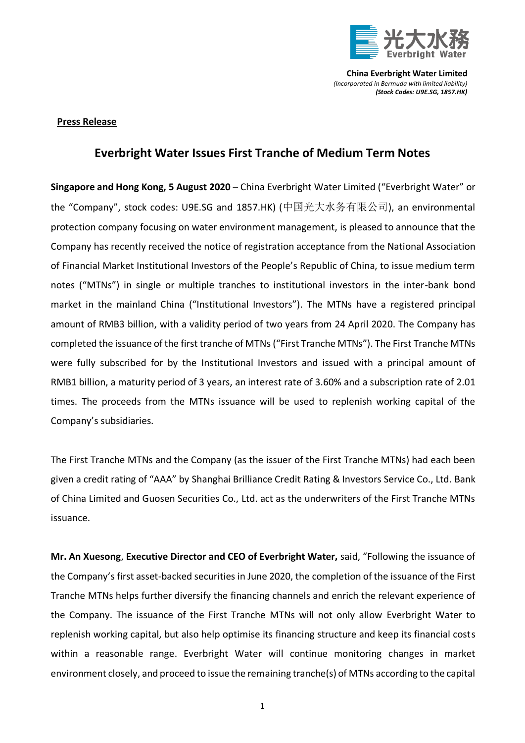

**China Everbright Water Limited** *(Incorporated in Bermuda with limited liability) (Stock Codes: U9E.SG, 1857.HK)*

## **Press Release**

## **Everbright Water Issues First Tranche of Medium Term Notes**

**Singapore and Hong Kong, 5 August 2020** – China Everbright Water Limited ("Everbright Water" or the "Company", stock codes: U9E.SG and 1857.HK) (中国光大水务有限公司), an environmental protection company focusing on water environment management, is pleased to announce that the Company has recently received the notice of registration acceptance from the National Association of Financial Market Institutional Investors of the People's Republic of China, to issue medium term notes ("MTNs") in single or multiple tranches to institutional investors in the inter-bank bond market in the mainland China ("Institutional Investors"). The MTNs have a registered principal amount of RMB3 billion, with a validity period of two years from 24 April 2020. The Company has completed the issuance of the first tranche of MTNs("First Tranche MTNs"). The First Tranche MTNs were fully subscribed for by the Institutional Investors and issued with a principal amount of RMB1 billion, a maturity period of 3 years, an interest rate of 3.60% and a subscription rate of 2.01 times. The proceeds from the MTNs issuance will be used to replenish working capital of the Company's subsidiaries.

The First Tranche MTNs and the Company (as the issuer of the First Tranche MTNs) had each been given a credit rating of "AAA" by Shanghai Brilliance Credit Rating & Investors Service Co., Ltd. Bank of China Limited and Guosen Securities Co., Ltd. act as the underwriters of the First Tranche MTNs issuance.

**Mr. An Xuesong**, **Executive Director and CEO of Everbright Water,** said, "Following the issuance of the Company's first asset-backed securities in June 2020, the completion of the issuance of the First Tranche MTNs helps further diversify the financing channels and enrich the relevant experience of the Company. The issuance of the First Tranche MTNs will not only allow Everbright Water to replenish working capital, but also help optimise its financing structure and keep its financial costs within a reasonable range. Everbright Water will continue monitoring changes in market environment closely, and proceed to issue the remaining tranche(s) of MTNs according to the capital